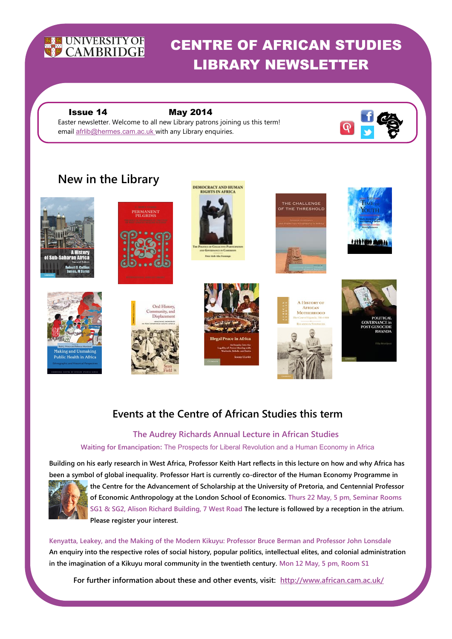

# CENTRE OF AFRICAN STUDIES LIBRARY NEWSLETTER

### Issue 14 May 2014

 Easter newsletter. Welcome to all new Library patrons joining us this term! email afrlib@hermes.cam.ac.uk with any Library enquiries.

# **New in the Library**









ERMANENT







**A HISTORY OF** 

AFRICAN

**MOTHERHOOD** 





# **Events at the Centre of African Studies this term**

# **The Audrey Richards Annual Lecture in African Studies**

#### **Waiting for Emancipation:** The Prospects for Liberal Revolution and a Human Economy in Africa

**Building on his early research in West Africa, Professor Keith Hart reflects in this lecture on how and why Africa has been a symbol of global inequality. Professor Hart is currently co-director of the Human Economy Programme in** 



**the Centre for the Advancement of Scholarship at the University of Pretoria, and Centennial Professor of Economic Anthropology at the London School of Economics. Thurs 22 May, 5 pm, Seminar Rooms SG1 & SG2, Alison Richard Building, 7 West Road The lecture is followed by a reception in the atrium. Please register your interest.** 

**Kenyatta, Leakey, and the Making of the Modern Kikuyu: Professor Bruce Berman and Professor John Lonsdale An enquiry into the respective roles of social history, popular politics, intellectual elites, and colonial administration in the imagination of a Kikuyu moral community in the twentieth century. Mon 12 May, 5 pm, Room S1** 

**For further information about these and other events, visit: http://www.african.cam.ac.uk/**